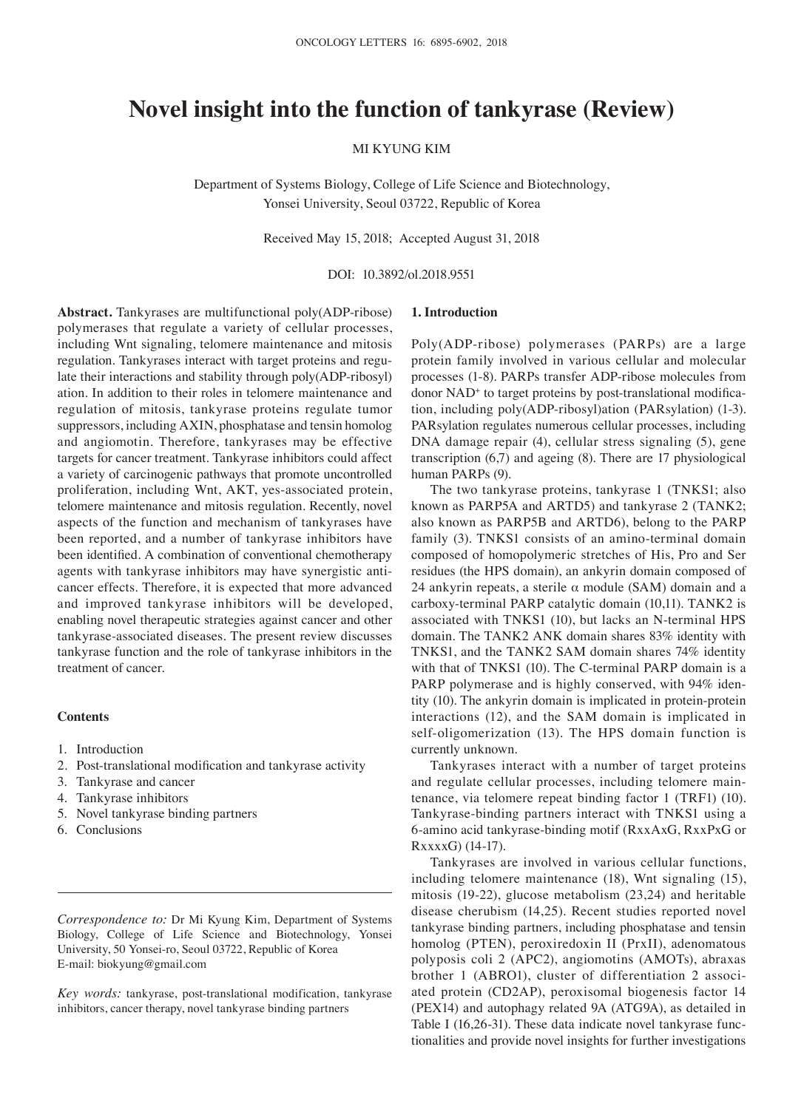# **Novel insight into the function of tankyrase (Review)**

MI KYUNG KIM

Department of Systems Biology, College of Life Science and Biotechnology, Yonsei University, Seoul 03722, Republic of Korea

Received May 15, 2018; Accepted August 31, 2018

DOI: 10.3892/ol.2018.9551

**Abstract.** Tankyrases are multifunctional poly(ADP-ribose) polymerases that regulate a variety of cellular processes, including Wnt signaling, telomere maintenance and mitosis regulation. Tankyrases interact with target proteins and regulate their interactions and stability through poly(ADP-ribosyl) ation. In addition to their roles in telomere maintenance and regulation of mitosis, tankyrase proteins regulate tumor suppressors, including AXIN, phosphatase and tensin homolog and angiomotin. Therefore, tankyrases may be effective targets for cancer treatment. Tankyrase inhibitors could affect a variety of carcinogenic pathways that promote uncontrolled proliferation, including Wnt, AKT, yes-associated protein, telomere maintenance and mitosis regulation. Recently, novel aspects of the function and mechanism of tankyrases have been reported, and a number of tankyrase inhibitors have been identified. A combination of conventional chemotherapy agents with tankyrase inhibitors may have synergistic anticancer effects. Therefore, it is expected that more advanced and improved tankyrase inhibitors will be developed, enabling novel therapeutic strategies against cancer and other tankyrase-associated diseases. The present review discusses tankyrase function and the role of tankyrase inhibitors in the treatment of cancer.

#### **Contents**

- 1. Introduction
- 2. Post-translational modification and tankyrase activity
- 3. Tankyrase and cancer
- 4. Tankyrase inhibitors
- 5. Novel tankyrase binding partners
- 6. Conclusions

*Correspondence to:* Dr Mi Kyung Kim, Department of Systems Biology, College of Life Science and Biotechnology, Yonsei University, 50 Yonsei-ro, Seoul 03722, Republic of Korea E-mail: biokyung@gmail.com

*Key words:* tankyrase, post-translational modification, tankyrase inhibitors, cancer therapy, novel tankyrase binding partners

#### **1. Introduction**

Poly(ADP-ribose) polymerases (PARPs) are a large protein family involved in various cellular and molecular processes (1-8). PARPs transfer ADP-ribose molecules from donor NAD<sup>+</sup> to target proteins by post-translational modification, including poly(ADP-ribosyl)ation (PARsylation) (1-3). PARsylation regulates numerous cellular processes, including DNA damage repair (4), cellular stress signaling (5), gene transcription (6,7) and ageing (8). There are 17 physiological human PARPs (9).

The two tankyrase proteins, tankyrase 1 (TNKS1; also known as PARP5A and ARTD5) and tankyrase 2 (TANK2; also known as PARP5B and ARTD6), belong to the PARP family (3). TNKS1 consists of an amino-terminal domain composed of homopolymeric stretches of His, Pro and Ser residues (the HPS domain), an ankyrin domain composed of 24 ankyrin repeats, a sterile  $\alpha$  module (SAM) domain and a carboxy-terminal PARP catalytic domain (10,11). TANK2 is associated with TNKS1 (10), but lacks an N-terminal HPS domain. The TANK2 ANK domain shares 83% identity with TNKS1, and the TANK2 SAM domain shares 74% identity with that of TNKS1 (10). The C-terminal PARP domain is a PARP polymerase and is highly conserved, with 94% identity (10). The ankyrin domain is implicated in protein-protein interactions (12), and the SAM domain is implicated in self-oligomerization (13). The HPS domain function is currently unknown.

Tankyrases interact with a number of target proteins and regulate cellular processes, including telomere maintenance, via telomere repeat binding factor 1 (TRF1) (10). Tankyrase-binding partners interact with TNKS1 using a 6-amino acid tankyrase-binding motif (RxxAxG, RxxPxG or RxxxxG) (14-17).

Tankyrases are involved in various cellular functions, including telomere maintenance (18), Wnt signaling (15), mitosis (19-22), glucose metabolism (23,24) and heritable disease cherubism (14,25). Recent studies reported novel tankyrase binding partners, including phosphatase and tensin homolog (PTEN), peroxiredoxin II (PrxII), adenomatous polyposis coli 2 (APC2), angiomotins (AMOTs), abraxas brother 1 (ABRO1), cluster of differentiation 2 associated protein (CD2AP), peroxisomal biogenesis factor 14 (PEX14) and autophagy related 9A (ATG9A), as detailed in Table I (16,26-31). These data indicate novel tankyrase functionalities and provide novel insights for further investigations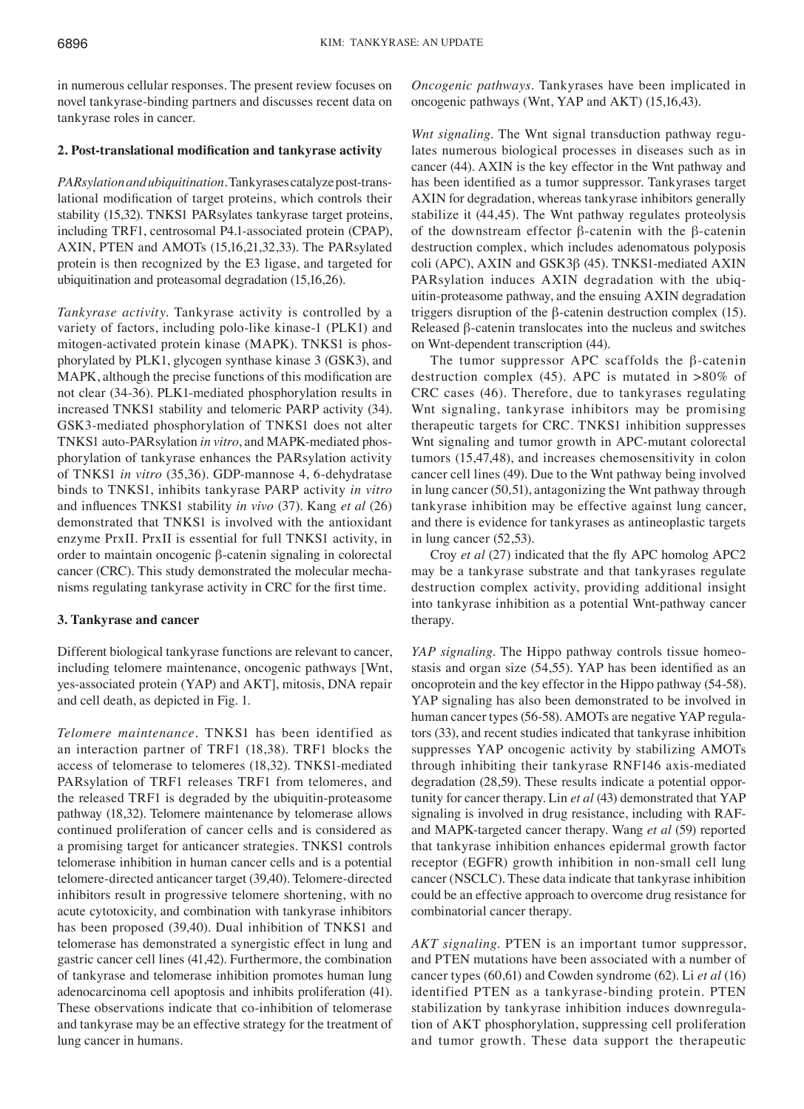in numerous cellular responses. The present review focuses on novel tankyrase-binding partners and discusses recent data on tankyrase roles in cancer.

#### **2. Post‑translational modification and tankyrase activity**

*PARsylation and ubiquitination.* Tankyrases catalyze post-translational modification of target proteins, which controls their stability (15,32). TNKS1 PARsylates tankyrase target proteins, including TRF1, centrosomal P4.1-associated protein (CPAP), AXIN, PTEN and AMOTs (15,16,21,32,33). The PARsylated protein is then recognized by the E3 ligase, and targeted for ubiquitination and proteasomal degradation (15,16,26).

*Tankyrase activity.* Tankyrase activity is controlled by a variety of factors, including polo-like kinase-1 (PLK1) and mitogen-activated protein kinase (MAPK). TNKS1 is phosphorylated by PLK1, glycogen synthase kinase 3 (GSK3), and MAPK, although the precise functions of this modification are not clear (34-36). PLK1-mediated phosphorylation results in increased TNKS1 stability and telomeric PARP activity (34). GSK3-mediated phosphorylation of TNKS1 does not alter TNKS1 auto-PARsylation *in vitro*, and MAPK-mediated phosphorylation of tankyrase enhances the PARsylation activity of TNKS1 *in vitro* (35,36). GDP-mannose 4, 6-dehydratase binds to TNKS1, inhibits tankyrase PARP activity *in vitro*  and influences TNKS1 stability *in vivo* (37). Kang *et al* (26) demonstrated that TNKS1 is involved with the antioxidant enzyme PrxII*.* PrxII is essential for full TNKS1 activity, in order to maintain oncogenic β-catenin signaling in colorectal cancer (CRC). This study demonstrated the molecular mechanisms regulating tankyrase activity in CRC for the first time.

### **3. Tankyrase and cancer**

Different biological tankyrase functions are relevant to cancer, including telomere maintenance, oncogenic pathways [Wnt, yes-associated protein (YAP) and AKT], mitosis, DNA repair and cell death, as depicted in Fig. 1.

*Telomere maintenance.* TNKS1 has been identified as an interaction partner of TRF1 (18,38). TRF1 blocks the access of telomerase to telomeres (18,32). TNKS1-mediated PARsylation of TRF1 releases TRF1 from telomeres, and the released TRF1 is degraded by the ubiquitin-proteasome pathway (18,32). Telomere maintenance by telomerase allows continued proliferation of cancer cells and is considered as a promising target for anticancer strategies. TNKS1 controls telomerase inhibition in human cancer cells and is a potential telomere-directed anticancer target (39,40). Telomere-directed inhibitors result in progressive telomere shortening, with no acute cytotoxicity, and combination with tankyrase inhibitors has been proposed (39,40). Dual inhibition of TNKS1 and telomerase has demonstrated a synergistic effect in lung and gastric cancer cell lines (41,42). Furthermore, the combination of tankyrase and telomerase inhibition promotes human lung adenocarcinoma cell apoptosis and inhibits proliferation (41). These observations indicate that co-inhibition of telomerase and tankyrase may be an effective strategy for the treatment of lung cancer in humans.

*Oncogenic pathways.* Tankyrases have been implicated in oncogenic pathways (Wnt, YAP and AKT) (15,16,43).

*Wnt signaling.* The Wnt signal transduction pathway regulates numerous biological processes in diseases such as in cancer (44). AXIN is the key effector in the Wnt pathway and has been identified as a tumor suppressor. Tankyrases target AXIN for degradation, whereas tankyrase inhibitors generally stabilize it (44,45). The Wnt pathway regulates proteolysis of the downstream effector β-catenin with the β-catenin destruction complex, which includes adenomatous polyposis coli (APC), AXIN and GSK3β (45). TNKS1-mediated AXIN PARsylation induces AXIN degradation with the ubiquitin-proteasome pathway, and the ensuing AXIN degradation triggers disruption of the β-catenin destruction complex (15). Released β-catenin translocates into the nucleus and switches on Wnt-dependent transcription (44).

The tumor suppressor APC scaffolds the β-catenin destruction complex (45). APC is mutated in >80% of CRC cases (46). Therefore, due to tankyrases regulating Wnt signaling, tankyrase inhibitors may be promising therapeutic targets for CRC. TNKS1 inhibition suppresses Wnt signaling and tumor growth in APC-mutant colorectal tumors (15,47,48), and increases chemosensitivity in colon cancer cell lines (49). Due to the Wnt pathway being involved in lung cancer (50*,*51), antagonizing the Wnt pathway through tankyrase inhibition may be effective against lung cancer, and there is evidence for tankyrases as antineoplastic targets in lung cancer (52,53).

Croy *et al* (27) indicated that the fly APC homolog APC2 may be a tankyrase substrate and that tankyrases regulate destruction complex activity, providing additional insight into tankyrase inhibition as a potential Wnt-pathway cancer therapy.

*YAP signaling.* The Hippo pathway controls tissue homeostasis and organ size (54,55). YAP has been identified as an oncoprotein and the key effector in the Hippo pathway (54-58). YAP signaling has also been demonstrated to be involved in human cancer types (56-58). AMOTs are negative YAP regulators (33), and recent studies indicated that tankyrase inhibition suppresses YAP oncogenic activity by stabilizing AMOTs through inhibiting their tankyrase RNF146 axis-mediated degradation (28,59). These results indicate a potential opportunity for cancer therapy. Lin *et al* (43) demonstrated that YAP signaling is involved in drug resistance, including with RAFand MAPK-targeted cancer therapy. Wang *et al* (59) reported that tankyrase inhibition enhances epidermal growth factor receptor (EGFR) growth inhibition in non-small cell lung cancer (NSCLC). These data indicate that tankyrase inhibition could be an effective approach to overcome drug resistance for combinatorial cancer therapy.

*AKT signaling.* PTEN is an important tumor suppressor, and PTEN mutations have been associated with a number of cancer types (60,61) and Cowden syndrome (62). Li *et al* (16) identified PTEN as a tankyrase-binding protein. PTEN stabilization by tankyrase inhibition induces downregulation of AKT phosphorylation, suppressing cell proliferation and tumor growth. These data support the therapeutic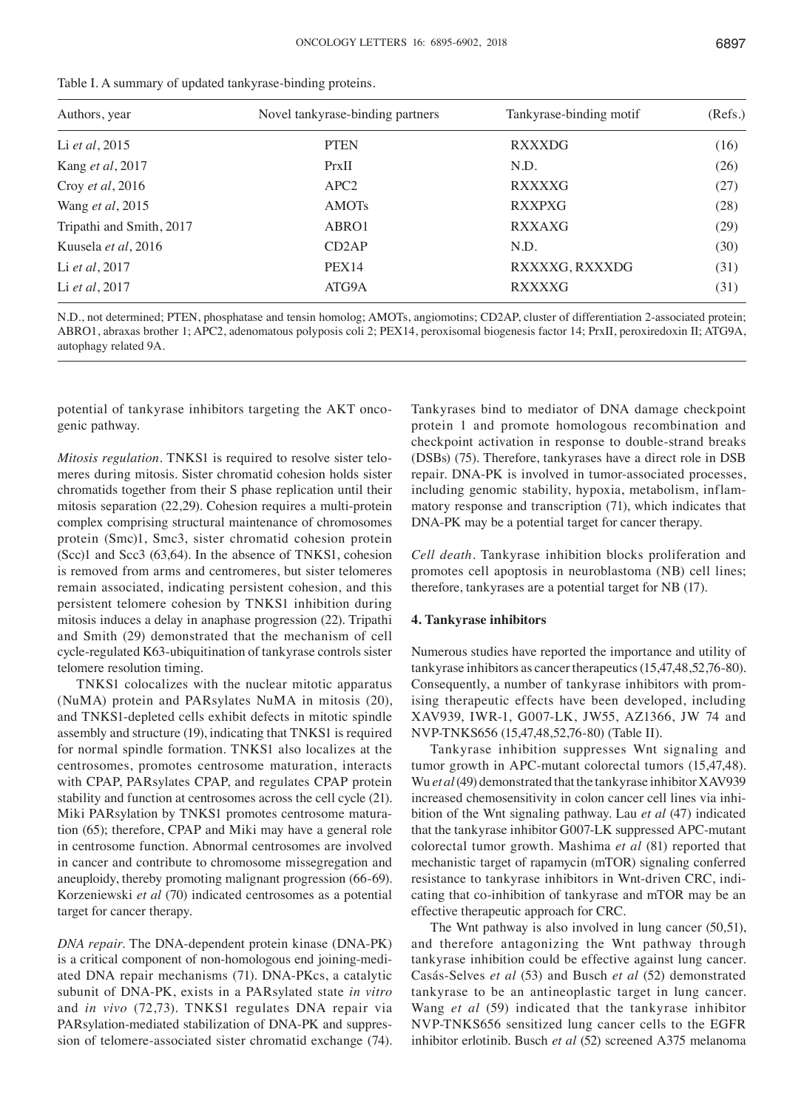| Authors, year            | Novel tankyrase-binding partners | Tankyrase-binding motif | (Refs.) |
|--------------------------|----------------------------------|-------------------------|---------|
| Li et al, 2015           | <b>PTEN</b>                      | <b>RXXXDG</b>           | (16)    |
| Kang et al, 2017         | PrxII                            | N.D.                    | (26)    |
| Croy et al, 2016         | APC <sub>2</sub>                 | <b>RXXXXG</b>           | (27)    |
| Wang et al, 2015         | <b>AMOTs</b>                     | <b>RXXPXG</b>           | (28)    |
| Tripathi and Smith, 2017 | ABRO1                            | <b>RXXAXG</b>           | (29)    |
| Kuusela et al, 2016      | CD <sub>2</sub> AP               | N.D.                    | (30)    |
| Li et al, 2017           | PEX <sub>14</sub>                | RXXXXG, RXXXDG          | (31)    |
| Li et al, 2017           | ATG9A                            | <b>RXXXXG</b>           | (31)    |

| Table I. A summary of updated tankyrase-binding proteins. |  |  |  |
|-----------------------------------------------------------|--|--|--|
|-----------------------------------------------------------|--|--|--|

N.D., not determined; PTEN, phosphatase and tensin homolog; AMOTs, angiomotins; CD2AP, cluster of differentiation 2-associated protein; ABRO1, abraxas brother 1; APC2, adenomatous polyposis coli 2; PEX14, peroxisomal biogenesis factor 14; PrxII, peroxiredoxin II; ATG9A, autophagy related 9A.

potential of tankyrase inhibitors targeting the AKT oncogenic pathway.

*Mitosis regulation.* TNKS1 is required to resolve sister telomeres during mitosis. Sister chromatid cohesion holds sister chromatids together from their S phase replication until their mitosis separation (22,29). Cohesion requires a multi-protein complex comprising structural maintenance of chromosomes protein (Smc)1, Smc3, sister chromatid cohesion protein (Scc)1 and Scc3 (63,64). In the absence of TNKS1, cohesion is removed from arms and centromeres, but sister telomeres remain associated, indicating persistent cohesion, and this persistent telomere cohesion by TNKS1 inhibition during mitosis induces a delay in anaphase progression (22). Tripathi and Smith (29) demonstrated that the mechanism of cell cycle-regulated K63-ubiquitination of tankyrase controls sister telomere resolution timing.

TNKS1 colocalizes with the nuclear mitotic apparatus (NuMA) protein and PARsylates NuMA in mitosis (20), and TNKS1-depleted cells exhibit defects in mitotic spindle assembly and structure (19), indicating that TNKS1 is required for normal spindle formation. TNKS1 also localizes at the centrosomes, promotes centrosome maturation, interacts with CPAP, PARsylates CPAP, and regulates CPAP protein stability and function at centrosomes across the cell cycle (21). Miki PARsylation by TNKS1 promotes centrosome maturation (65); therefore, CPAP and Miki may have a general role in centrosome function. Abnormal centrosomes are involved in cancer and contribute to chromosome missegregation and aneuploidy, thereby promoting malignant progression (66-69). Korzeniewski *et al* (70) indicated centrosomes as a potential target for cancer therapy.

*DNA repair.* The DNA-dependent protein kinase (DNA-PK) is a critical component of non-homologous end joining-mediated DNA repair mechanisms (71). DNA-PKcs, a catalytic subunit of DNA-PK, exists in a PARsylated state *in vitro* and *in vivo* (72,73). TNKS1 regulates DNA repair via PARsylation-mediated stabilization of DNA-PK and suppression of telomere-associated sister chromatid exchange (74). Tankyrases bind to mediator of DNA damage checkpoint protein 1 and promote homologous recombination and checkpoint activation in response to double-strand breaks (DSBs) (75). Therefore, tankyrases have a direct role in DSB repair. DNA-PK is involved in tumor-associated processes, including genomic stability, hypoxia, metabolism, inflammatory response and transcription (71), which indicates that DNA-PK may be a potential target for cancer therapy.

*Cell death.* Tankyrase inhibition blocks proliferation and promotes cell apoptosis in neuroblastoma (NB) cell lines; therefore, tankyrases are a potential target for NB (17).

#### **4. Tankyrase inhibitors**

Numerous studies have reported the importance and utility of tankyrase inhibitors as cancer therapeutics(15,47,48,52,76-80). Consequently, a number of tankyrase inhibitors with promising therapeutic effects have been developed, including XAV939, IWR-1, G007-LK, JW55, AZ1366, JW 74 and NVP-TNKS656 (15,47,48,52,76-80) (Table II).

Tankyrase inhibition suppresses Wnt signaling and tumor growth in APC-mutant colorectal tumors (15,47,48). Wu *et al*(49) demonstrated that the tankyrase inhibitor XAV939 increased chemosensitivity in colon cancer cell lines via inhibition of the Wnt signaling pathway. Lau *et al* (47) indicated that the tankyrase inhibitor G007-LK suppressed APC-mutant colorectal tumor growth. Mashima *et al* (81) reported that mechanistic target of rapamycin (mTOR) signaling conferred resistance to tankyrase inhibitors in Wnt-driven CRC, indicating that co-inhibition of tankyrase and mTOR may be an effective therapeutic approach for CRC.

The Wnt pathway is also involved in lung cancer (50*,*51), and therefore antagonizing the Wnt pathway through tankyrase inhibition could be effective against lung cancer. Casás-Selves *et al* (53) and Busch *et al* (52) demonstrated tankyrase to be an antineoplastic target in lung cancer. Wang *et al* (59) indicated that the tankyrase inhibitor NVP-TNKS656 sensitized lung cancer cells to the EGFR inhibitor erlotinib. Busch *et al* (52) screened A375 melanoma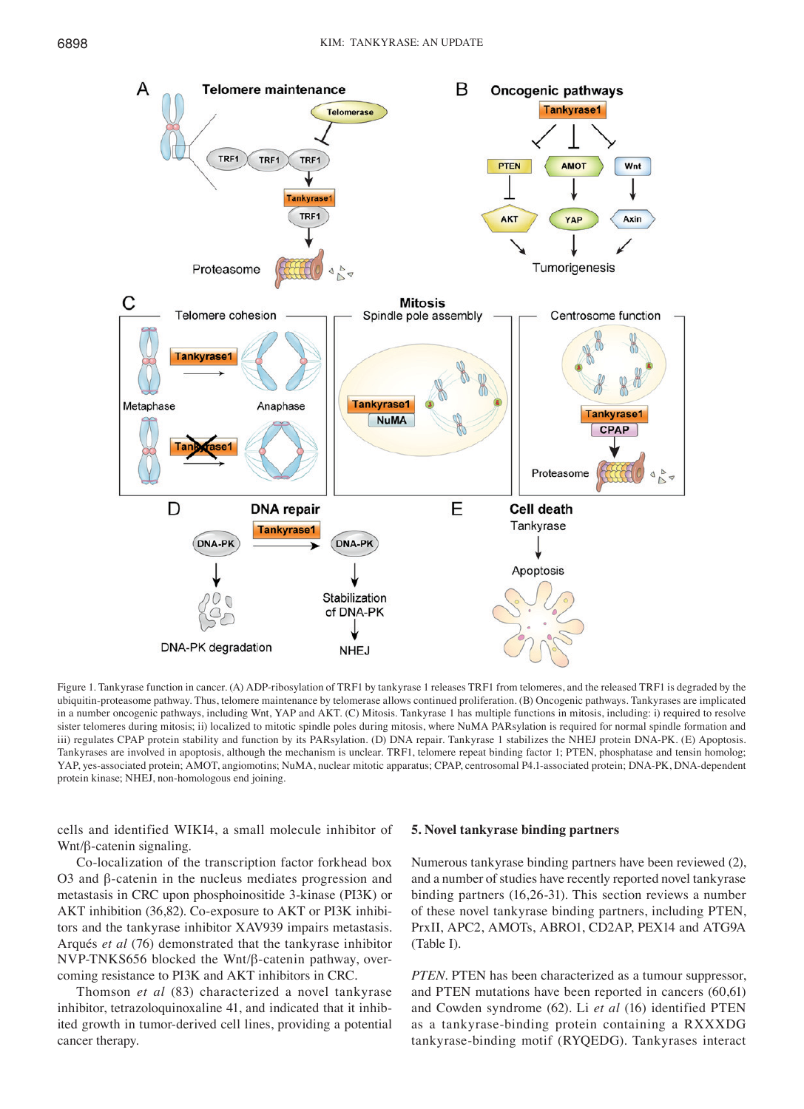

Figure 1. Tankyrase function in cancer. (A) ADP-ribosylation of TRF1 by tankyrase 1 releases TRF1 from telomeres, and the released TRF1 is degraded by the ubiquitin-proteasome pathway. Thus, telomere maintenance by telomerase allows continued proliferation. (B) Oncogenic pathways. Tankyrases are implicated in a number oncogenic pathways, including Wnt, YAP and AKT. (C) Mitosis. Tankyrase 1 has multiple functions in mitosis, including: i) required to resolve sister telomeres during mitosis; ii) localized to mitotic spindle poles during mitosis, where NuMA PARsylation is required for normal spindle formation and iii) regulates CPAP protein stability and function by its PARsylation. (D) DNA repair. Tankyrase 1 stabilizes the NHEJ protein DNA-PK. (E) Apoptosis. Tankyrases are involved in apoptosis, although the mechanism is unclear. TRF1, telomere repeat binding factor 1; PTEN, phosphatase and tensin homolog; YAP, yes-associated protein; AMOT, angiomotins; NuMA, nuclear mitotic apparatus; CPAP, centrosomal P4.1-associated protein; DNA-PK, DNA-dependent protein kinase; NHEJ, non-homologous end joining.

cells and identified WIKI4, a small molecule inhibitor of Wnt/β-catenin signaling.

Co-localization of the transcription factor forkhead box O3 and β-catenin in the nucleus mediates progression and metastasis in CRC upon phosphoinositide 3-kinase (PI3K) or AKT inhibition (36,82). Co-exposure to AKT or PI3K inhibitors and the tankyrase inhibitor XAV939 impairs metastasis. Arqués *et al* (76) demonstrated that the tankyrase inhibitor NVP-TNKS656 blocked the Wnt/β-catenin pathway, overcoming resistance to PI3K and AKT inhibitors in CRC.

Thomson *et al* (83) characterized a novel tankyrase inhibitor, tetrazoloquinoxaline 41, and indicated that it inhibited growth in tumor-derived cell lines, providing a potential cancer therapy.

#### **5. Novel tankyrase binding partners**

Numerous tankyrase binding partners have been reviewed (2), and a number of studies have recently reported novel tankyrase binding partners (16,26-31). This section reviews a number of these novel tankyrase binding partners, including PTEN, PrxII, APC2, AMOTs, ABRO1, CD2AP, PEX14 and ATG9A (Table I).

*PTEN*. PTEN has been characterized as a tumour suppressor, and PTEN mutations have been reported in cancers (60,61) and Cowden syndrome (62)*.* Li *et al* (16) identified PTEN as a tankyrase-binding protein containing a RXXXDG tankyrase-binding motif (RYQEDG). Tankyrases interact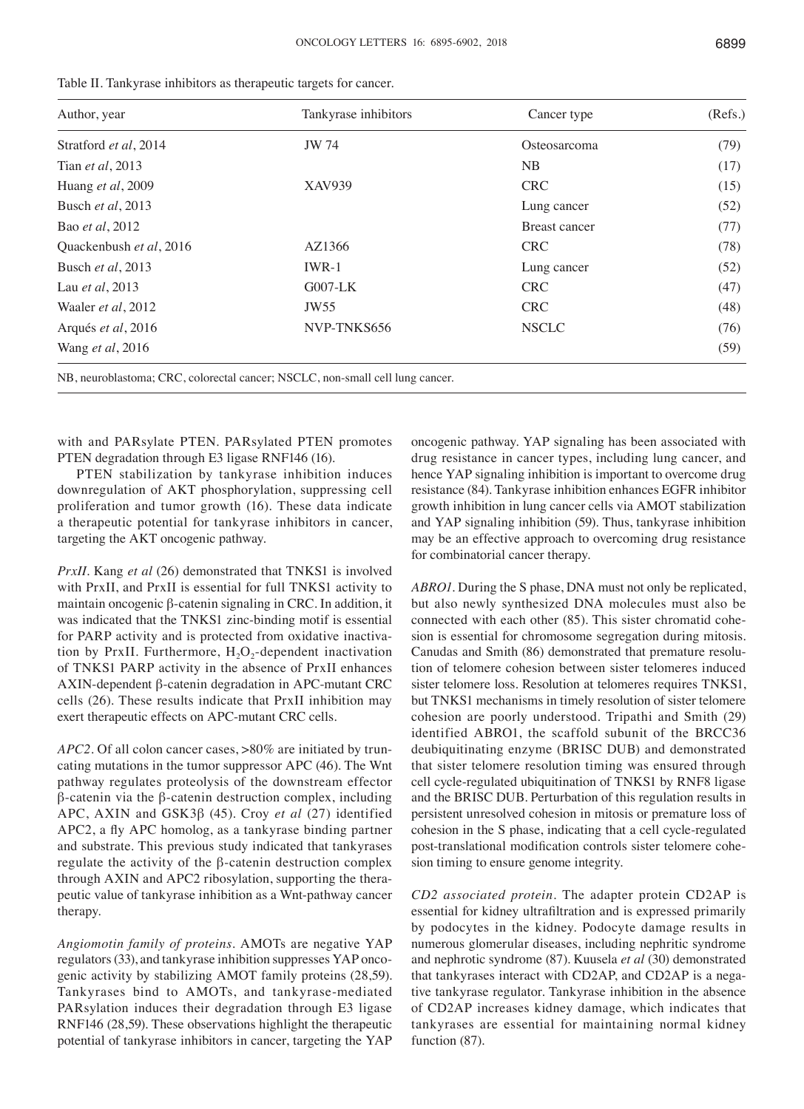| ۰, | ×<br>ł | × |
|----|--------|---|
|    |        |   |

| Author, year               | Tankyrase inhibitors                                                          | Cancer type          | (Refs.) |
|----------------------------|-------------------------------------------------------------------------------|----------------------|---------|
| Stratford et al, 2014      | JW 74                                                                         | Osteosarcoma         | (79)    |
| Tian <i>et al</i> , 2013   |                                                                               | NB                   | (17)    |
| Huang et al, 2009          | XAV939                                                                        | <b>CRC</b>           | (15)    |
| Busch et al, 2013          |                                                                               | Lung cancer          | (52)    |
| Bao <i>et al</i> , 2012    |                                                                               | <b>Breast cancer</b> | (77)    |
| Quackenbush et al, 2016    | AZ1366                                                                        | <b>CRC</b>           | (78)    |
| Busch et al, 2013          | $IWR-1$                                                                       | Lung cancer          | (52)    |
| Lau et al, 2013            | $G007-LK$                                                                     | <b>CRC</b>           | (47)    |
| Waaler <i>et al</i> , 2012 | JW <sub>55</sub>                                                              | <b>CRC</b>           | (48)    |
| Arqués et al, 2016         | NVP-TNKS656                                                                   | <b>NSCLC</b>         | (76)    |
| Wang et al, 2016           |                                                                               |                      | (59)    |
|                            | NB, neuroblastoma; CRC, colorectal cancer; NSCLC, non-small cell lung cancer. |                      |         |

| Table II. Tankyrase inhibitors as therapeutic targets for cancer. |  |
|-------------------------------------------------------------------|--|
|-------------------------------------------------------------------|--|

with and PARsylate PTEN. PARsylated PTEN promotes PTEN degradation through E3 ligase RNF146 (16).

PTEN stabilization by tankyrase inhibition induces downregulation of AKT phosphorylation, suppressing cell proliferation and tumor growth (16). These data indicate a therapeutic potential for tankyrase inhibitors in cancer, targeting the AKT oncogenic pathway.

*PrxII.* Kang *et al* (26) demonstrated that TNKS1 is involved with PrxII, and PrxII is essential for full TNKS1 activity to maintain oncogenic β-catenin signaling in CRC. In addition, it was indicated that the TNKS1 zinc-binding motif is essential for PARP activity and is protected from oxidative inactivation by PrxII. Furthermore,  $H_2O_2$ -dependent inactivation of TNKS1 PARP activity in the absence of PrxII enhances AXIN-dependent β-catenin degradation in APC-mutant CRC cells (26). These results indicate that PrxII inhibition may exert therapeutic effects on APC-mutant CRC cells.

*APC2.* Of all colon cancer cases, >80% are initiated by truncating mutations in the tumor suppressor APC (46). The Wnt pathway regulates proteolysis of the downstream effector β-catenin via the β-catenin destruction complex, including APC, AXIN and GSK3β (45). Croy *et al* (27) identified APC2, a fly APC homolog, as a tankyrase binding partner and substrate. This previous study indicated that tankyrases regulate the activity of the β-catenin destruction complex through AXIN and APC2 ribosylation, supporting the therapeutic value of tankyrase inhibition as a Wnt-pathway cancer therapy.

*Angiomotin family of proteins.* AMOTs are negative YAP regulators(33), and tankyrase inhibition suppresses YAP oncogenic activity by stabilizing AMOT family proteins (28,59). Tankyrases bind to AMOTs, and tankyrase-mediated PARsylation induces their degradation through E3 ligase RNF146 (28,59). These observations highlight the therapeutic potential of tankyrase inhibitors in cancer, targeting the YAP oncogenic pathway. YAP signaling has been associated with drug resistance in cancer types, including lung cancer, and hence YAP signaling inhibition is important to overcome drug resistance (84). Tankyrase inhibition enhances EGFR inhibitor growth inhibition in lung cancer cells via AMOT stabilization and YAP signaling inhibition (59). Thus, tankyrase inhibition may be an effective approach to overcoming drug resistance for combinatorial cancer therapy.

*ABRO1*. During the S phase, DNA must not only be replicated, but also newly synthesized DNA molecules must also be connected with each other (85). This sister chromatid cohesion is essential for chromosome segregation during mitosis. Canudas and Smith (86) demonstrated that premature resolution of telomere cohesion between sister telomeres induced sister telomere loss. Resolution at telomeres requires TNKS1, but TNKS1 mechanisms in timely resolution of sister telomere cohesion are poorly understood. Tripathi and Smith (29) identified ABRO1, the scaffold subunit of the BRCC36 deubiquitinating enzyme (BRISC DUB) and demonstrated that sister telomere resolution timing was ensured through cell cycle-regulated ubiquitination of TNKS1 by RNF8 ligase and the BRISC DUB. Perturbation of this regulation results in persistent unresolved cohesion in mitosis or premature loss of cohesion in the S phase, indicating that a cell cycle-regulated post-translational modification controls sister telomere cohesion timing to ensure genome integrity.

*CD2 associated protein.* The adapter protein CD2AP is essential for kidney ultrafiltration and is expressed primarily by podocytes in the kidney. Podocyte damage results in numerous glomerular diseases, including nephritic syndrome and nephrotic syndrome (87). Kuusela *et al* (30) demonstrated that tankyrases interact with CD2AP, and CD2AP is a negative tankyrase regulator. Tankyrase inhibition in the absence of CD2AP increases kidney damage, which indicates that tankyrases are essential for maintaining normal kidney function (87).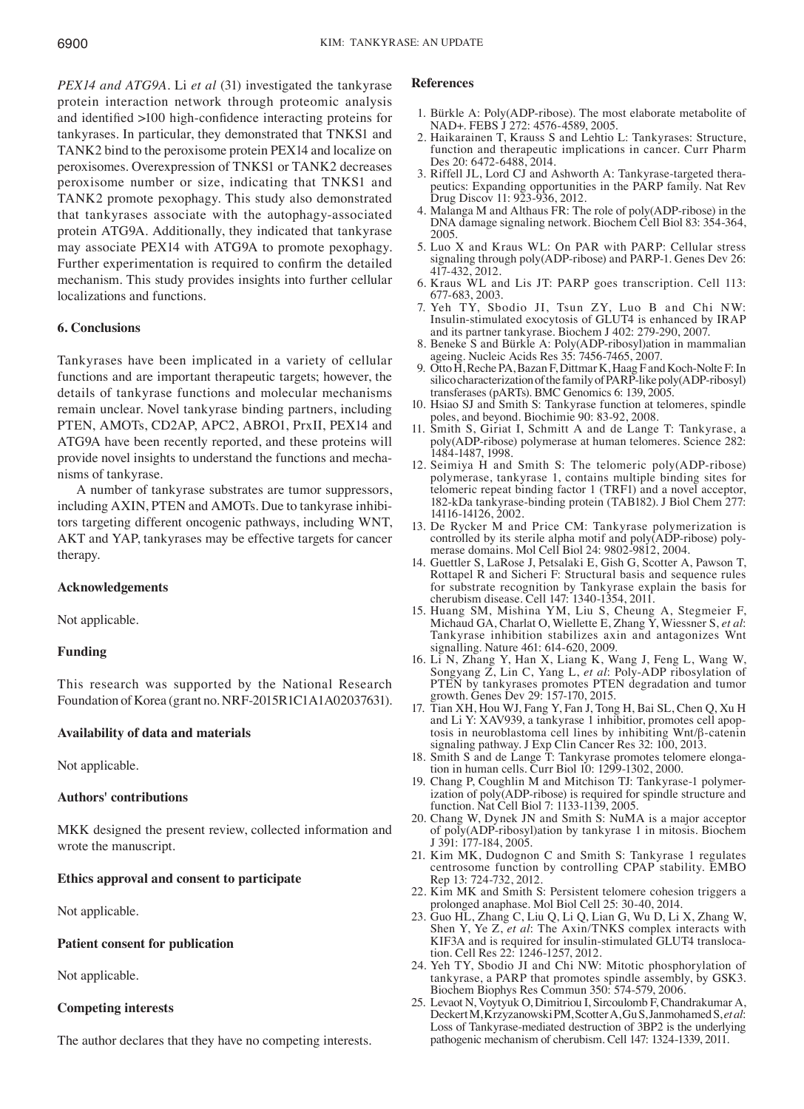*PEX14 and ATG9A.* Li *et al* (31) investigated the tankyrase protein interaction network through proteomic analysis and identified >100 high-confidence interacting proteins for tankyrases. In particular, they demonstrated that TNKS1 and TANK2 bind to the peroxisome protein PEX14 and localize on peroxisomes. Overexpression of TNKS1 or TANK2 decreases peroxisome number or size, indicating that TNKS1 and TANK2 promote pexophagy. This study also demonstrated that tankyrases associate with the autophagy-associated protein ATG9A. Additionally, they indicated that tankyrase may associate PEX14 with ATG9A to promote pexophagy. Further experimentation is required to confirm the detailed mechanism. This study provides insights into further cellular localizations and functions.

# **6. Conclusions**

Tankyrases have been implicated in a variety of cellular functions and are important therapeutic targets; however, the details of tankyrase functions and molecular mechanisms remain unclear. Novel tankyrase binding partners, including PTEN, AMOTs, CD2AP, APC2, ABRO1, PrxII, PEX14 and ATG9A have been recently reported, and these proteins will provide novel insights to understand the functions and mechanisms of tankyrase.

A number of tankyrase substrates are tumor suppressors, including AXIN, PTEN and AMOTs. Due to tankyrase inhibitors targeting different oncogenic pathways, including WNT, AKT and YAP, tankyrases may be effective targets for cancer therapy.

### **Acknowledgements**

Not applicable.

## **Funding**

This research was supported by the National Research Foundation of Korea (grant no. NRF-2015R1C1A1A02037631).

### **Availability of data and materials**

Not applicable.

### **Authors' contributions**

MKK designed the present review, collected information and wrote the manuscript.

# **Ethics approval and consent to participate**

Not applicable.

### **Patient consent for publication**

Not applicable.

### **Competing interests**

The author declares that they have no competing interests.

#### **References**

- 1. Bürkle A: Poly(ADP-ribose). The most elaborate metabolite of NAD+. FEBS J 272: 4576-4589, 2005.
- 2. Haikarainen T, Krauss S and Lehtio L: Tankyrases: Structure, function and therapeutic implications in cancer. Curr Pharm Des 20: 6472-6488, 2014.
- 3. Riffell JL, Lord CJ and Ashworth A: Tankyrase-targeted therapeutics: Expanding opportunities in the PARP family. Nat Rev Drug Discov 11: 923-936, 2012.
- 4. Malanga M and Althaus FR: The role of poly(ADP-ribose) in the DNA damage signaling network. Biochem Cell Biol 83: 354-364, 2005.
- 5. Luo X and Kraus WL: On PAR with PARP: Cellular stress signaling through poly(ADP-ribose) and PARP-1. Genes Dev 26: 417-432, 2012.
- 6. Kraus WL and Lis JT: PARP goes transcription. Cell 113: 677-683, 2003.
- 7. Yeh TY, Sbodio JI, Tsun ZY, Luo B and Chi NW: Insulin-stimulated exocytosis of GLUT4 is enhanced by IRAP and its partner tankyrase. Biochem J 402: 279-290, 2007.
- 8. Beneke S and Bürkle A: Poly(ADP-ribosyl)ation in mammalian ageing. Nucleic Acids Res 35: 7456-7465, 2007.
- 9. Otto H, Reche PA, Bazan F, Dittmar K, Haag F and Koch-Nolte F: In silico characterization of the family of PARP-like poly(ADP-ribosyl) transferases (pARTs). BMC Genomics 6: 139, 2005.
- 10. Hsiao SJ and Smith S: Tankyrase function at telomeres, spindle poles, and beyond. Biochimie 90: 83-92, 2008.
- 11. Smith S, Giriat I, Schmitt A and de Lange T: Tankyrase, a poly(ADP-ribose) polymerase at human telomeres. Science 282: 1484-1487, 1998.
- 12. Seimiya H and Smith S: The telomeric poly(ADP-ribose) polymerase, tankyrase 1, contains multiple binding sites for telomeric repeat binding factor 1 (TRF1) and a novel acceptor, 182-kDa tankyrase-binding protein (TAB182). J Biol Chem 277: 14116-14126, 2002.
- 13. De Rycker M and Price CM: Tankyrase polymerization is controlled by its sterile alpha motif and poly(ADP-ribose) polymerase domains. Mol Cell Biol 24: 9802-9812, 2004.
- 14. Guettler S, LaRose J, Petsalaki E, Gish G, Scotter A, Pawson T, Rottapel R and Sicheri F: Structural basis and sequence rules for substrate recognition by Tankyrase explain the basis for cherubism disease. Cell 147: 1340-1354, 2011.
- 15. Huang SM, Mishina YM, Liu S, Cheung A, Stegmeier F, Michaud GA, Charlat O, Wiellette E, Zhang Y, Wiessner S, *et al*: Tankyrase inhibition stabilizes axin and antagonizes Wnt signalling. Nature 461: 614-620, 2009.
- 16. Li N, Zhang Y, Han X, Liang K, Wang J, Feng L, Wang W, Songyang Z, Lin C, Yang L, *et al*: Poly-ADP ribosylation of PTEN by tankyrases promotes PTEN degradation and tumor growth. Genes Dev 29: 157-170, 2015.
- 17. Tian XH, Hou WJ, Fang Y, Fan J, Tong H, Bai SL, Chen Q, Xu H and Li Y: XAV939, a tankyrase 1 inhibitior, promotes cell apoptosis in neuroblastoma cell lines by inhibiting Wnt/β-catenin signaling pathway. J Exp Clin Cancer Res 32: 100, 2013.
- 18. Smith S and de Lange T: Tankyrase promotes telomere elongation in human cells. Curr Biol 10: 1299-1302, 2000.
- 19. Chang P, Coughlin M and Mitchison TJ: Tankyrase-1 polymerization of poly(ADP-ribose) is required for spindle structure and function. Nat Cell Biol 7: 1133-1139, 2005.
- 20. Chang W, Dynek JN and Smith S: NuMA is a major acceptor of poly(ADP-ribosyl)ation by tankyrase 1 in mitosis. Biochem J 391: 177-184, 2005.
- 21. Kim MK, Dudognon C and Smith S: Tankyrase 1 regulates centrosome function by controlling CPAP stability. EMBO Rep 13: 724-732, 2012.
- 22. Kim MK and Smith S: Persistent telomere cohesion triggers a prolonged anaphase. Mol Biol Cell 25: 30-40, 2014.
- 23. Guo HL, Zhang C, Liu Q, Li Q, Lian G, Wu D, Li X, Zhang W, Shen Y, Ye Z, *et al*: The Axin/TNKS complex interacts with KIF3A and is required for insulin-stimulated GLUT4 translocation. Cell Res 22: 1246-1257, 2012.
- 24. Yeh TY, Sbodio JI and Chi NW: Mitotic phosphorylation of tankyrase, a PARP that promotes spindle assembly, by GSK3. Biochem Biophys Res Commun 350: 574-579, 2006.
- 25. Levaot N, Voytyuk O, Dimitriou I, Sircoulomb F, Chandrakumar A, DeckertM, KrzyzanowskiPM, ScotterA, GuS, JanmohamedS, *etal*: Loss of Tankyrase-mediated destruction of 3BP2 is the underlying pathogenic mechanism of cherubism. Cell 147: 1324-1339, 2011.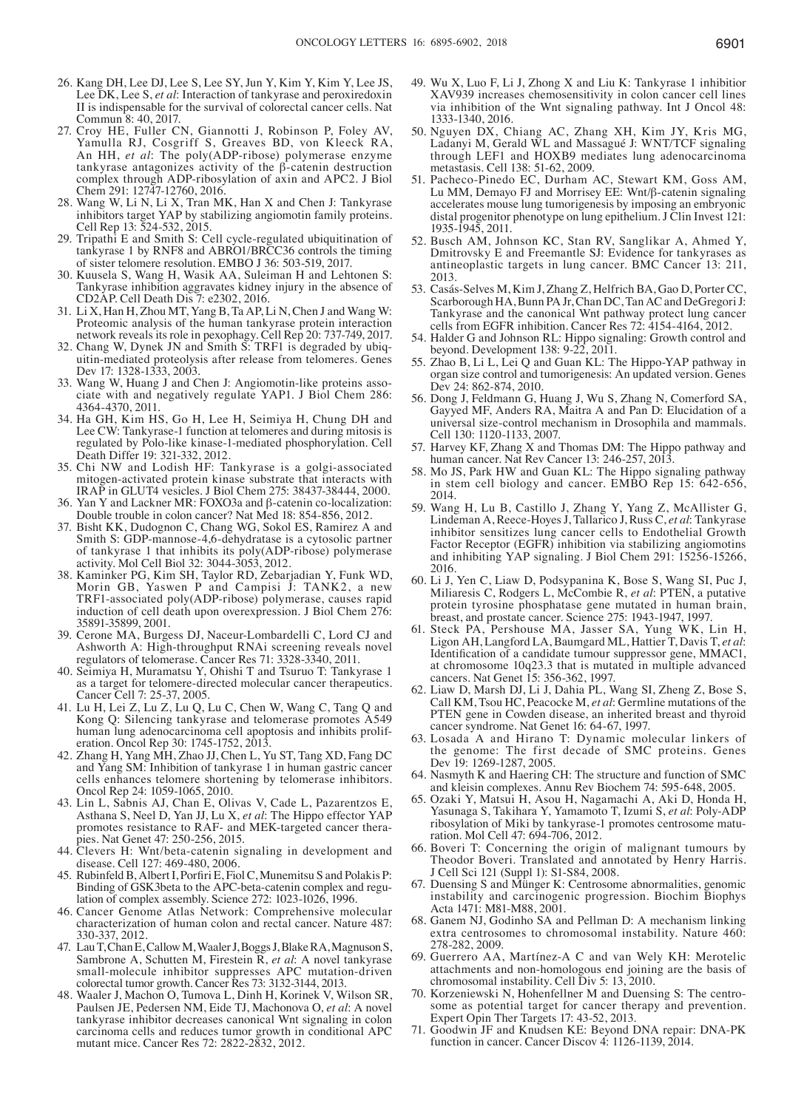- 26. Kang DH, Lee DJ, Lee S, Lee SY, Jun Y, Kim Y, Kim Y, Lee JS, Lee DK, Lee S, *et al*: Interaction of tankyrase and peroxiredoxin II is indispensable for the survival of colorectal cancer cells. Nat Commun 8: 40, 2017.
- 27. Croy HE, Fuller CN, Giannotti J, Robinson P, Foley AV, Yamulla RJ, Cosgriff S, Greaves BD, von Kleeck RA, An HH, *et al*: The poly(ADP-ribose) polymerase enzyme tankyrase antagonizes activity of the β-catenin destruction complex through ADP-ribosylation of axin and APC2. J Biol Chem 291: 12747-12760, 2016.
- 28. Wang W, Li N, Li X, Tran MK, Han X and Chen J: Tankyrase inhibitors target YAP by stabilizing angiomotin family proteins. Cell Rep 13: 524-532, 2015.
- 29. Tripathi E and Smith S: Cell cycle-regulated ubiquitination of tankyrase 1 by RNF8 and ABRO1/BRCC36 controls the timing of sister telomere resolution. EMBO J 36: 503-519, 2017.
- 30. Kuusela S, Wang H, Wasik AA, Suleiman H and Lehtonen S: Tankyrase inhibition aggravates kidney injury in the absence of CD2AP. Cell Death Dis 7: e2302, 2016.
- 31. Li X, Han H, Zhou MT, Yang B, Ta AP, Li N, Chen J and Wang W: Proteomic analysis of the human tankyrase protein interaction network reveals its role in pexophagy. Cell Rep 20: 737-749, 2017.<br>32. Chang W, Dynek JN and Smith S: TRF1 is degraded by ubiq-
- uitin-mediated proteolysis after release from telomeres. Genes Dev 17: 1328-1333, 2003.<br>33. Wang W, Huang J and Chen J: Angiomotin-like proteins asso-
- ciate with and negatively regulate YAP1. J Biol Chem 286: 4364-4370, 2011.
- 34. Ha GH, Kim HS, Go H, Lee H, Seimiya H, Chung DH and Lee CW: Tankyrase-1 function at telomeres and during mitosis is regulated by Polo-like kinase-1-mediated phosphorylation. Cell Death Differ 19: 321-332, 2012.
- 35. Chi NW and Lodish HF: Tankyrase is a golgi-associated mitogen-activated protein kinase substrate that interacts with IRAP in GLUT4 vesicles. J Biol Chem 275: 38437-38444, 2000.
- 36. Yan Y and Lackner MR: FOXO3a and β-catenin co-localization: Double trouble in colon cancer? Nat Med 18: 854-856, 2012.
- 37. Bisht KK, Dudognon C, Chang WG, Sokol ES, Ramirez A and Smith S: GDP-mannose-4,6-dehydratase is a cytosolic partner of tankyrase 1 that inhibits its poly(ADP-ribose) polymerase activity. Mol Cell Biol 32: 3044-3053, 2012.
- 38. Kaminker PG, Kim SH, Taylor RD, Zebarjadian Y, Funk WD, Morin GB, Yaswen P and Campisi J: TANK2, a new TRF1-associated poly(ADP-ribose) polymerase, causes rapid 35891-35899, 2001.<br>39. Cerone MA, Burgess DJ, Naceur-Lombardelli C, Lord CJ and
- Ashworth A: High-throughput RNAi screening reveals novel regulators of telomerase. Cancer Res 71: 3328-3340, 2011.
- 40. Seimiya H, Muramatsu Y, Ohishi T and Tsuruo T: Tankyrase 1 as a target for telomere-directed molecular cancer therapeutics. Cancer Cell 7: 25-37, 2005.
- 41. Lu H, Lei Z, Lu Z, Lu Q, Lu C, Chen W, Wang C, Tang Q and Kong Q: Silencing tankyrase and telomerase promotes A549 human lung adenocarcinoma cell apoptosis and inhibits prolif- eration. Oncol Rep 30: 1745-1752, 2013.
- 42. Zhang H, Yang MH, Zhao JJ, Chen L, Yu ST, Tang XD, Fang DC and Yang SM: Inhibition of tankyrase 1 in human gastric cancer cells enhances telomere shortening by telomerase inhibitors. Oncol Rep 24: 1059-1065, 2010.
- 43. Lin L, Sabnis AJ, Chan E, Olivas V, Cade L, Pazarentzos E, Asthana S, Neel D, Yan JJ, Lu X, *et al*: The Hippo effector YAP promotes resistance to RAF- and MEK-targeted cancer thera- pies. Nat Genet 47: 250-256, 2015.
- 44. Clevers H: Wnt/beta-catenin signaling in development and disease. Cell 127: 469-480, 2006.
- 45. Rubinfeld B, Albert I, Porfiri E, Fiol C, Munemitsu S and Polakis P:<br>Binding of GSK3beta to the APC-beta-catenin complex and regulation of complex assembly. Science 272: 1023-1026, 1996.
- 46. Cancer Genome Atlas Network: Comprehensive molecular characterization of human colon and rectal cancer. Nature 487: 330-337, 2012.
- 47. LauT, ChanE, CallowM, WaalerJ, BoggsJ, BlakeRA, MagnusonS, Sambrone A, Schutten M, Firestein R, *et al*: A novel tankyrase small-molecule inhibitor suppresses APC mutation-driven colorectal tumor growth. Cancer Res 73: 3132-3144, 2013.
- 48. Waaler J, Machon O, Tumova L, Dinh H, Korinek V, Wilson SR, Paulsen JE, Pedersen NM, Eide TJ, Machonova O, *et al*: A novel tankyrase inhibitor decreases canonical Wnt signaling in colon carcinoma cells and reduces tumor growth in conditional APC mutant mice. Cancer Res 72: 2822-2832, 2012.
- 49. Wu X, Luo F, Li J, Zhong X and Liu K: Tankyrase 1 inhibitior XAV939 increases chemosensitivity in colon cancer cell lines via inhibition of the Wnt signaling pathway. Int J Oncol 48: 1333-1340, 2016.
- 50. Nguyen DX, Chiang AC, Zhang XH, Kim JY, Kris MG, Ladanyi M, Gerald WL and Massagué J: WNT/TCF signaling through LEF1 and HOXB9 mediates lung adenocarcinoma metastasis. Cell 138: 51-62, 2009.
- 51. Pacheco-Pinedo EC, Durham AC, Stewart KM, Goss AM, Lu MM, Demayo FJ and Morrisey EE: Wnt/β-catenin signaling accelerates mouse lung tumorigenesis by imposing an embryonic distal progenitor phenotype on lung epithelium. J Clin Invest 121: 1935-1945, 2011.
- 52. Busch AM, Johnson KC, Stan RV, Sanglikar A, Ahmed Y, Dmitrovsky E and Freemantle SJ: Evidence for tankyrases as antineoplastic targets in lung cancer. BMC Cancer 13: 211, 2013.
- 53. Casás-Selves M, Kim J, Zhang Z, Helfrich BA, Gao D, Porter CC, Scarborough HA, Bunn PA Jr, Chan DC, Tan AC and DeGregori J: Tankyrase and the canonical Wnt pathway protect lung cancer cells from EGFR inhibition. Cancer Res 72: 4154-4164, 2012.
- 54. Halder G and Johnson RL: Hippo signaling: Growth control and beyond. Development  $138: 9-222, 2011$ .
- 55. Zhao B, Li L, Lei Q and Guan KL: The Hippo-YAP pathway in organ size control and tumorigenesis: An updated version. Genes Dev 24: 862-874, 2010.
- 56. Dong J, Feldmann G, Huang J, Wu S, Zhang N, Comerford SA, Gayyed MF, Anders RA, Maitra A and Pan D: Elucidation of a universal size-control mechanism in Drosophila and mammals. Cell 130: 1120-1133, 2007.
- 57. Harvey KF, Zhang  $\hat{X}$  and Thomas DM: The Hippo pathway and human cancer. Nat Rev Cancer 13: 246-257, 2013.
- 58. Mo JS, Park HW and Guan KL: The Hippo signaling pathway in stem cell biology and cancer. EMBO Rep 15: 642-656, 2014.
- 59. Wang H, Lu B, Castillo J, Zhang Y, Yang Z, McAllister G, Lindeman A, Reece-HoyesJ, Tallarico J, Russ C, *et al*: Tankyrase inhibitor sensitizes lung cancer cells to Endothelial Growth Factor Receptor (EGFR) inhibition via stabilizing angiomotins and inhibiting YAP signaling. J Biol Chem 291: 15256-15266, 2016.
- 60. Li J, Yen C, Liaw D, Podsypanina K, Bose S, Wang SI, Puc J, Miliaresis C, Rodgers L, McCombie R, *et al*: PTEN, a putative protein tyrosine phosphatase gene mutated in human brain, breast, and prostate cancer. Science 275: 1943-1947, 1997.
- 61. Steck PA, Pershouse MA, Jasser SA, Yung WK, Lin H, Ligon AH, Langford LA, Baumgard ML, Hattier T, Davis T, *et al*: Identification of a candidate tumour suppressor gene, MMAC1, at chromosome 10q23.3 that is mutated in multiple advanced cancers. Nat Genet 15: 356-362, 1997.
- 62. Liaw D, Marsh DJ, Li J, Dahia PL, Wang SI, Zheng Z, Bose S, Call KM, Tsou HC, Peacocke M, *et al*: Germline mutations of the PTEN gene in Cowden disease, an inherited breast and thyroid cancer syndrome. Nat Genet 16: 64-67, 1997.
- 63. Losada A and Hirano T: Dynamic molecular linkers of the genome: The first decade of SMC proteins. Genes Dev 19: 1269-1287, 2005.
- 64. Nasmyth K and Haering CH: The structure and function of SMC and kleisin complexes. Annu Rev Biochem 74: 595-648, 2005.
- 65. Ozaki Y, Matsui H, Asou H, Nagamachi A, Aki D, Honda H, Yasunaga S, Takihara Y, Yamamoto T, Izumi S, *et al*: Poly-ADP ribosylation of Miki by tankyrase-1 promotes centrosome maturation. Mol Cell 47: 694-706, 2012.
- 66. Boveri T: Concerning the origin of malignant tumours by Theodor Boveri. Translated and annotated by Henry Harris. J Cell Sci 121 (Suppl 1): S1-S84, 2008.
- 67. Duensing S and Münger K: Centrosome abnormalities, genomic instability and carcinogenic progression. Biochim Biophys Acta 1471: M81-M88, 2001.
- 68. Ganem NJ, Godinho SA and Pellman D: A mechanism linking extra centrosomes to chromosomal instability. Nature 460: 278-282, 2009.
- 69. Guerrero AA, Martínez-A C and van Wely KH: Merotelic attachments and non-homologous end joining are the basis of chromosomal instability. Cell Div 5: 13, 2010.
- some as potential target for cancer therapy and prevention. Expert Opin Ther Targets 17: 43-52, 2013.
- 71. Goodwin JF and Knudsen KE: Beyond DNA repair: DNA-PK function in cancer. Cancer Discov 4: 1126-1139, 2014.